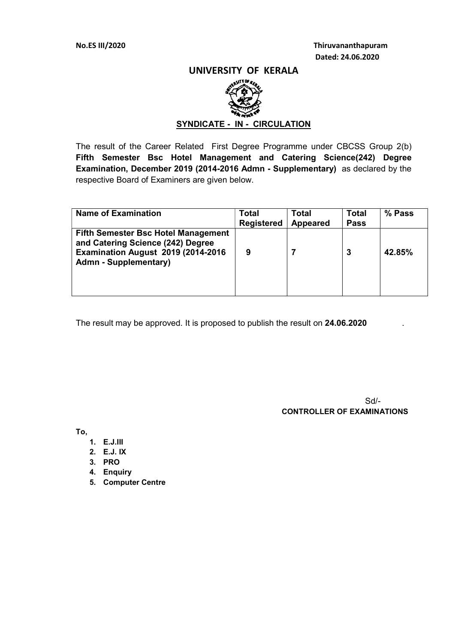No.ES III/2020 **No.ES III**/2020 Dated: 24.06.2020

### UNIVERSITY OF KERALA



#### SYNDICATE - IN - CIRCULATION

The result of the Career Related First Degree Programme under CBCSS Group 2(b) Fifth Semester Bsc Hotel Management and Catering Science(242) Degree Examination, December 2019 (2014-2016 Admn - Supplementary) as declared by the respective Board of Examiners are given below.

| <b>Name of Examination</b>                                                                                                                             | Total<br><b>Registered</b> | Total<br><b>Appeared</b> | Total<br><b>Pass</b> | % Pass |
|--------------------------------------------------------------------------------------------------------------------------------------------------------|----------------------------|--------------------------|----------------------|--------|
| <b>Fifth Semester Bsc Hotel Management</b><br>and Catering Science (242) Degree<br>Examination August 2019 (2014-2016)<br><b>Admn - Supplementary)</b> |                            |                          | 3                    | 42.85% |

The result may be approved. It is proposed to publish the result on 24.06.2020

 Sd/- CONTROLLER OF EXAMINATIONS

To,

- 1. E.J.III
- 2. E.J. IX
- 3. PRO
- 4. Enquiry
- 5. Computer Centre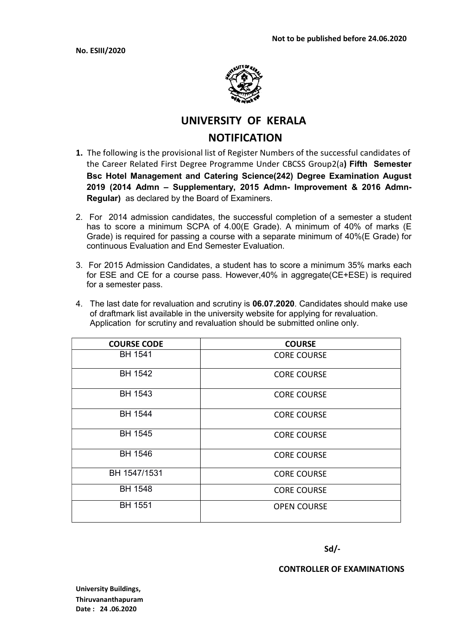

# UNIVERSITY OF KERALA **NOTIFICATION**

- 1. The following is the provisional list of Register Numbers of the successful candidates of the Career Related First Degree Programme Under CBCSS Group2(a) Fifth Semester Bsc Hotel Management and Catering Science(242) Degree Examination August 2019 (2014 Admn – Supplementary, 2015 Admn- Improvement & 2016 Admn-Regular) as declared by the Board of Examiners.
- 2. For 2014 admission candidates, the successful completion of a semester a student has to score a minimum SCPA of 4.00(E Grade). A minimum of 40% of marks (E Grade) is required for passing a course with a separate minimum of 40%(E Grade) for continuous Evaluation and End Semester Evaluation.
- 3. For 2015 Admission Candidates, a student has to score a minimum 35% marks each for ESE and CE for a course pass. However,40% in aggregate(CE+ESE) is required for a semester pass.
- 4. The last date for revaluation and scrutiny is 06.07.2020. Candidates should make use of draftmark list available in the university website for applying for revaluation. Application for scrutiny and revaluation should be submitted online only.

| <b>COURSE CODE</b> | <b>COURSE</b>      |
|--------------------|--------------------|
| <b>BH 1541</b>     | <b>CORE COURSE</b> |
| <b>BH 1542</b>     | <b>CORE COURSE</b> |
| <b>BH 1543</b>     | <b>CORE COURSE</b> |
| <b>BH 1544</b>     | <b>CORE COURSE</b> |
| <b>BH 1545</b>     | <b>CORE COURSE</b> |
| <b>BH 1546</b>     | <b>CORE COURSE</b> |
| BH 1547/1531       | <b>CORE COURSE</b> |
| <b>BH 1548</b>     | <b>CORE COURSE</b> |
| <b>BH 1551</b>     | <b>OPEN COURSE</b> |

Sd/-

#### CONTROLLER OF EXAMINATIONS